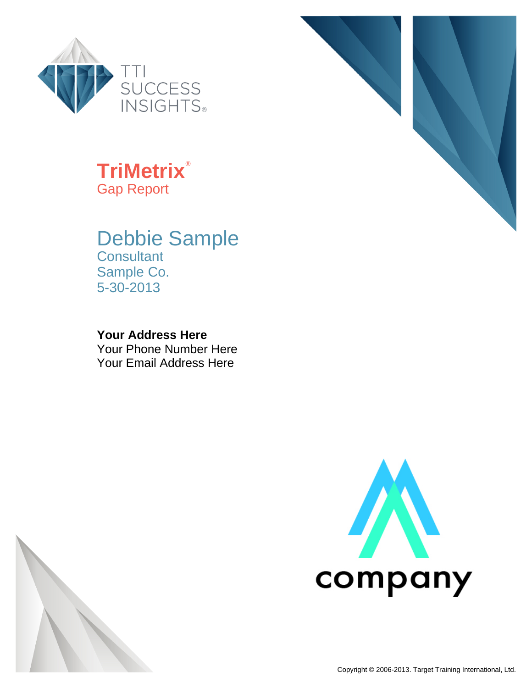

#### **TriMetrix**® Gap Report

#### Debbie Sample

**Consultant** Sample Co. 5-30-2013

#### **Your Address Here**

Your Phone Number Here Your Email Address Here





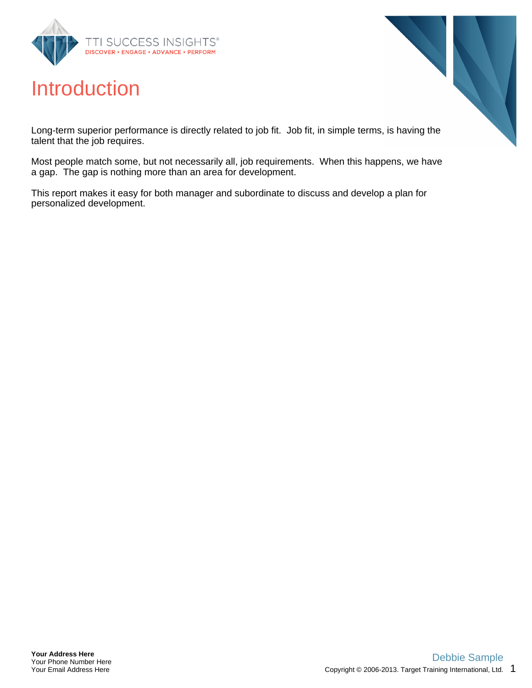

#### Introduction

Long-term superior performance is directly related to job fit. Job fit, in simple terms, is having the talent that the job requires.

Most people match some, but not necessarily all, job requirements. When this happens, we have a gap. The gap is nothing more than an area for development.

This report makes it easy for both manager and subordinate to discuss and develop a plan for personalized development.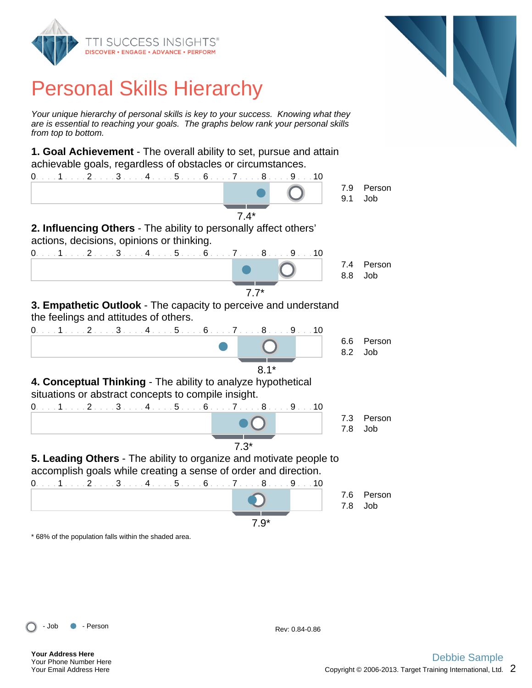

Your unique hierarchy of personal skills is key to your success. Knowing what they are is essential to reaching your goals. The graphs below rank your personal skills from top to bottom.

**1. Goal Achievement** - The overall ability to set, pursue and attain achievable goals, regardless of obstacles or circumstances.



\* 68% of the population falls within the shaded area.



**Your Address Here** Your Phone Number Here Your Email Address Here

Copyright  $@$  2006-2013. Target Training International, Ltd.  $2$ 

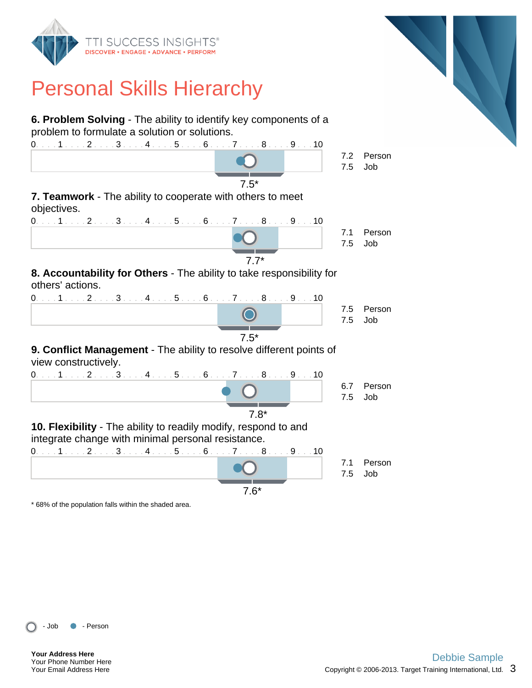



\* 68% of the population falls within the shaded area.

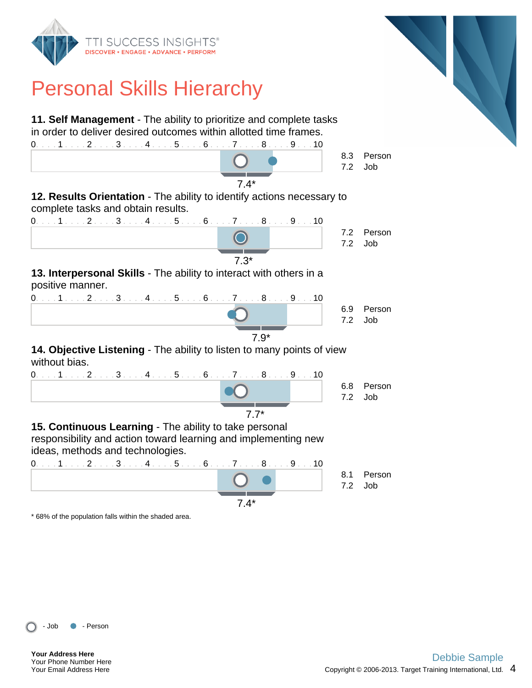

\* 68% of the population falls within the shaded area.



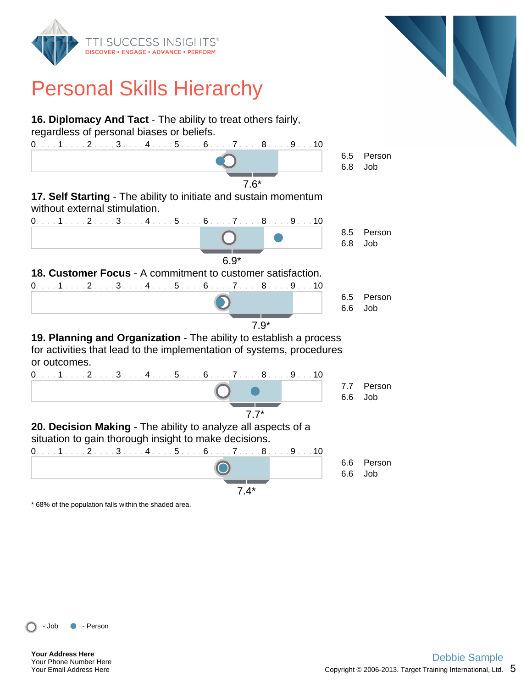



\* 68% of the population falls within the shaded area.

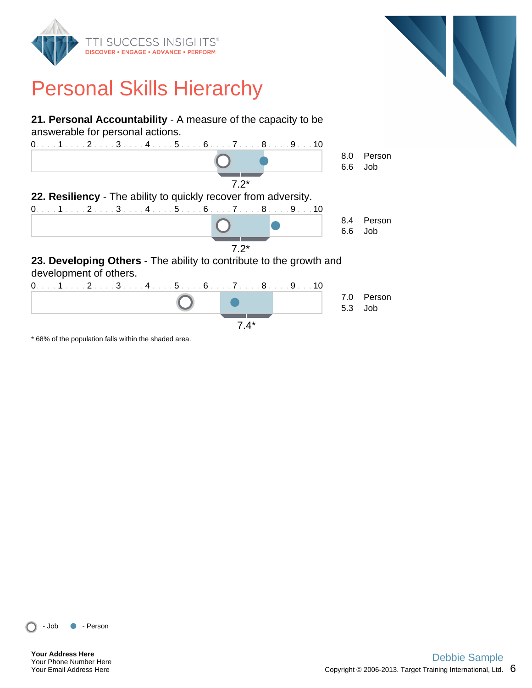

**21. Personal Accountability** - A measure of the capacity to be answerable for personal actions.



\* 68% of the population falls within the shaded area.



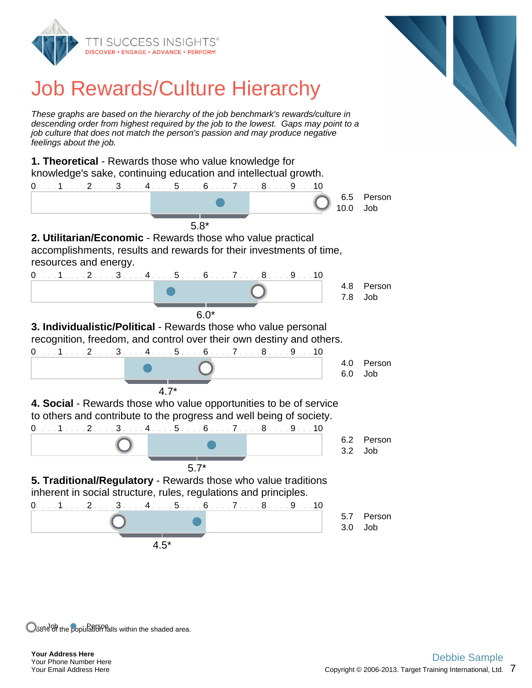

# Job Rewards/Culture Hierarchy

These graphs are based on the hierarchy of the job benchmark's rewards/culture in descending order from highest required by the job to the lowest. Gaps may point to a job culture that does not match the person's passion and may produce negative feelings about the job.

**1. Theoretical** - Rewards those who value knowledge for knowledge's sake, continuing education and intellectual growth. 0. . . . 1 . . . . 2 . . . . 3 . . . . 4 . . . . 5 . . . . 6 . . . . 7 . . . . 8 . . . . 9 . . . 10 6.5 Person 10.0 Job 5.8\* **2. Utilitarian/Economic** - Rewards those who value practical accomplishments, results and rewards for their investments of time, resources and energy. 0. . . . 1 . . . . 2 . . . . 3 . . . . 4 . . . . 5 . . . . 6 . . . . 7 . . . . 8 . . . . 9 . . . 10 4.8 Person 7.8 Job 6.0\* **3. Individualistic/Political** - Rewards those who value personal recognition, freedom, and control over their own destiny and others. 0. . . . 1 . . . . 2 . . . . 3 . . . . 4 . . . . 5 . . . . 6 . . . . 7 . . . . 8 . . . . 9 . . . 10 4.0 Person 6.0 Job 4.7\* **4. Social** - Rewards those who value opportunities to be of service to others and contribute to the progress and well being of society. 0. . . . 1 . . . . 2 . . . . 3 . . . . 4 . . . . 5 . . . . 6 . . . . 7 . . . . 8 . . . . 9 . . . 10 6.2 Person 3.2 Job 5.7\* **5. Traditional/Regulatory** - Rewards those who value traditions inherent in social structure, rules, regulations and principles. 0. . . . 1 . . . . 2 . . . . 3 . . . . 4 . . . . 5 . . . . 6 . . . . 7 . . . . 8 . . . . 9 . . . 10 5.7 Person 3.0 Job 4.5\*

O38% Of the population falls within the shaded area.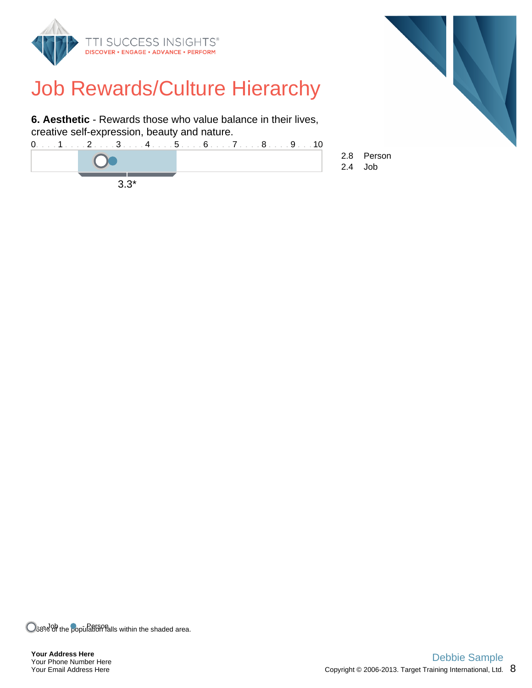

### Job Rewards/Culture Hierarchy

**6. Aesthetic** - Rewards those who value balance in their lives, creative self-expression, beauty and nature.





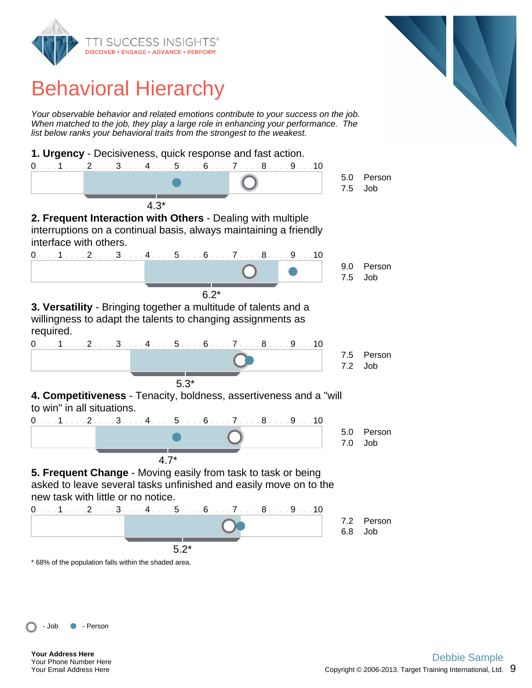

#### Behavioral Hierarchy

Your observable behavior and related emotions contribute to your success on the job. When matched to the job, they play a large role in enhancing your performance. The list below ranks your behavioral traits from the strongest to the weakest.



\* 68% of the population falls within the shaded area.



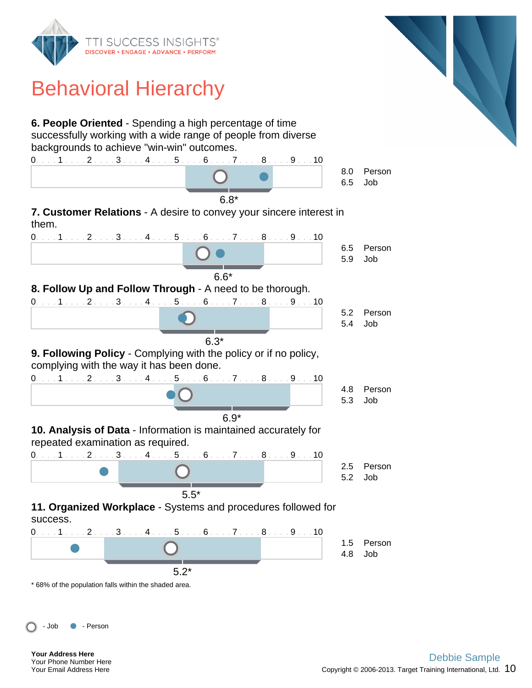

## Behavioral Hierarchy

**6. People Oriented** - Spending a high percentage of time successfully working with a wide range of people from diverse backgrounds to achieve "win-win" outcomes.



\* 68% of the population falls within the shaded area.

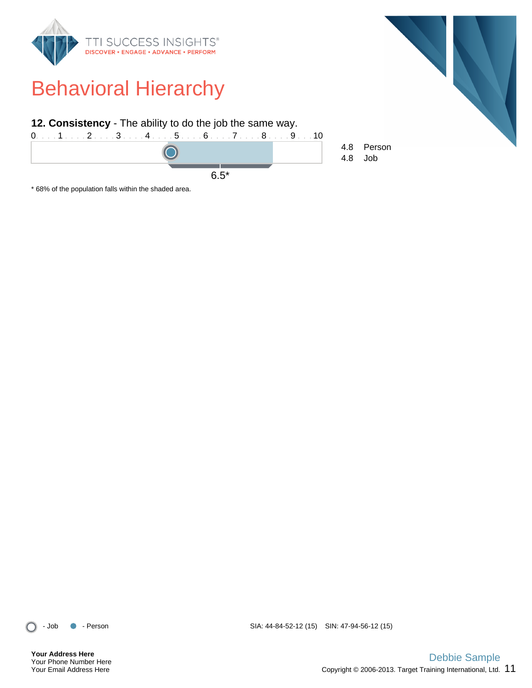

\* 68% of the population falls within the shaded area.



**Your Address Here** Your Phone Number Here Your Email Address Here

- Job - Person SIA: 44-84-52-12 (15) SIN: 47-94-56-12 (15)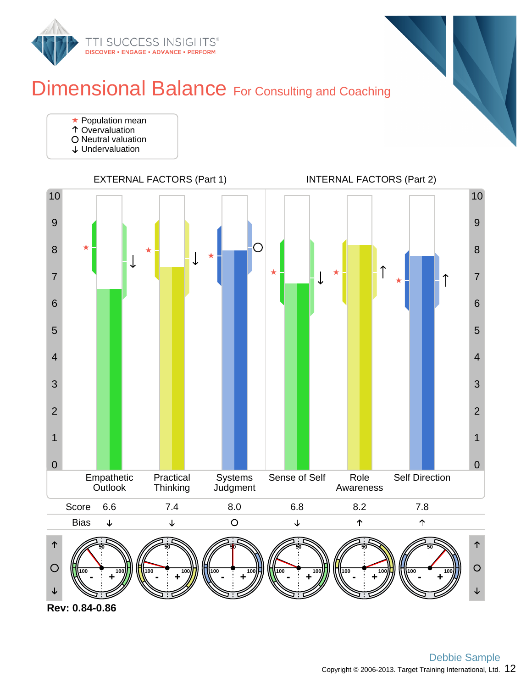

#### Dimensional Balance For Consulting and Coaching

- **★ Population mean**
- Overvaluation
- O Neutral valuation
- Undervaluation



**Rev: 0.84-0.86**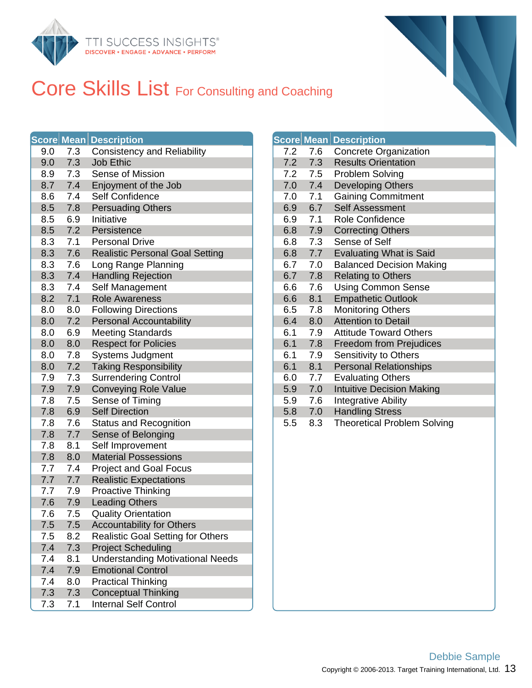

#### Core Skills List For Consulting and Coaching

|     |     | <b>Score Mean Description</b>            |     |     | <b>Score Mean Description</b> |
|-----|-----|------------------------------------------|-----|-----|-------------------------------|
| 9.0 | 7.3 | <b>Consistency and Reliability</b>       | 7.2 | 7.6 | Concrete Or                   |
| 9.0 | 7.3 | <b>Job Ethic</b>                         | 7.2 | 7.3 | <b>Results Orie</b>           |
| 8.9 | 7.3 | Sense of Mission                         | 7.2 | 7.5 | Problem Sol                   |
| 8.7 | 7.4 | Enjoyment of the Job                     | 7.0 | 7.4 | Developing                    |
| 8.6 | 7.4 | Self Confidence                          | 7.0 | 7.1 | <b>Gaining Cor</b>            |
| 8.5 | 7.8 | <b>Persuading Others</b>                 | 6.9 | 6.7 | Self Assessi                  |
| 8.5 | 6.9 | Initiative                               | 6.9 | 7.1 | Role Confid                   |
| 8.5 | 7.2 | Persistence                              | 6.8 | 7.9 | <b>Correcting C</b>           |
| 8.3 | 7.1 | <b>Personal Drive</b>                    | 6.8 | 7.3 | Sense of Se                   |
| 8.3 | 7.6 | <b>Realistic Personal Goal Setting</b>   | 6.8 | 7.7 | <b>Evaluating V</b>           |
| 8.3 | 7.6 | Long Range Planning                      | 6.7 | 7.0 | Balanced De                   |
| 8.3 | 7.4 | <b>Handling Rejection</b>                | 6.7 | 7.8 | Relating to 0                 |
| 8.3 | 7.4 | Self Management                          | 6.6 | 7.6 | <b>Using Comn</b>             |
| 8.2 | 7.1 | <b>Role Awareness</b>                    | 6.6 | 8.1 | Empathetic                    |
| 8.0 | 8.0 | <b>Following Directions</b>              | 6.5 | 7.8 | Monitoring C                  |
| 8.0 | 7.2 | <b>Personal Accountability</b>           | 6.4 | 8.0 | Attention to                  |
| 8.0 | 6.9 | <b>Meeting Standards</b>                 | 6.1 | 7.9 | <b>Attitude Tow</b>           |
| 8.0 | 8.0 | <b>Respect for Policies</b>              | 6.1 | 7.8 | Freedom fro                   |
| 8.0 | 7.8 | <b>Systems Judgment</b>                  | 6.1 | 7.9 | Sensitivity to                |
| 8.0 | 7.2 | <b>Taking Responsibility</b>             | 6.1 | 8.1 | Personal Re                   |
| 7.9 | 7.3 | <b>Surrendering Control</b>              | 6.0 | 7.7 | <b>Evaluating C</b>           |
| 7.9 | 7.9 | <b>Conveying Role Value</b>              | 5.9 | 7.0 | <b>Intuitive Dec</b>          |
| 7.8 | 7.5 | Sense of Timing                          | 5.9 | 7.6 | Integrative A                 |
| 7.8 | 6.9 | <b>Self Direction</b>                    | 5.8 | 7.0 | <b>Handling Str</b>           |
| 7.8 | 7.6 | <b>Status and Recognition</b>            | 5.5 | 8.3 | Theoretical I                 |
| 7.8 | 7.7 | Sense of Belonging                       |     |     |                               |
| 7.8 | 8.1 | Self Improvement                         |     |     |                               |
| 7.8 | 8.0 | <b>Material Possessions</b>              |     |     |                               |
| 7.7 | 7.4 | <b>Project and Goal Focus</b>            |     |     |                               |
| 7.7 | 7.7 | <b>Realistic Expectations</b>            |     |     |                               |
| 7.7 | 7.9 | <b>Proactive Thinking</b>                |     |     |                               |
| 7.6 | 7.9 | <b>Leading Others</b>                    |     |     |                               |
| 7.6 | 7.5 | <b>Quality Orientation</b>               |     |     |                               |
| 7.5 | 7.5 | <b>Accountability for Others</b>         |     |     |                               |
| 7.5 | 8.2 | <b>Realistic Goal Setting for Others</b> |     |     |                               |
| 7.4 | 7.3 | <b>Project Scheduling</b>                |     |     |                               |
| 7.4 | 8.1 | <b>Understanding Motivational Needs</b>  |     |     |                               |
| 7.4 | 7.9 | <b>Emotional Control</b>                 |     |     |                               |
| 7.4 | 8.0 | <b>Practical Thinking</b>                |     |     |                               |
| 7.3 | 7.3 | <b>Conceptual Thinking</b>               |     |     |                               |
| 7.3 | 7.1 | <b>Internal Self Control</b>             |     |     |                               |

|     |     | <b>Score Mean Description</b>      |
|-----|-----|------------------------------------|
| 7.2 | 7.6 | <b>Concrete Organization</b>       |
| 7.2 | 7.3 | <b>Results Orientation</b>         |
| 7.2 | 7.5 | <b>Problem Solving</b>             |
| 7.0 | 7.4 | <b>Developing Others</b>           |
| 7.0 | 7.1 | <b>Gaining Commitment</b>          |
| 6.9 | 6.7 | <b>Self Assessment</b>             |
| 6.9 | 7.1 | <b>Role Confidence</b>             |
| 6.8 | 7.9 | <b>Correcting Others</b>           |
| 6.8 | 7.3 | Sense of Self                      |
| 6.8 | 7.7 | <b>Evaluating What is Said</b>     |
| 6.7 | 7.0 | <b>Balanced Decision Making</b>    |
| 6.7 | 7.8 | <b>Relating to Others</b>          |
| 6.6 | 7.6 | <b>Using Common Sense</b>          |
| 6.6 | 8.1 | <b>Empathetic Outlook</b>          |
| 6.5 | 7.8 | <b>Monitoring Others</b>           |
| 6.4 | 8.0 | <b>Attention to Detail</b>         |
| 6.1 | 7.9 | <b>Attitude Toward Others</b>      |
| 6.1 | 7.8 | <b>Freedom from Prejudices</b>     |
| 6.1 | 7.9 | Sensitivity to Others              |
| 6.1 | 8.1 | <b>Personal Relationships</b>      |
| 6.0 | 7.7 | <b>Evaluating Others</b>           |
| 5.9 | 7.0 | <b>Intuitive Decision Making</b>   |
| 5.9 | 7.6 | <b>Integrative Ability</b>         |
| 5.8 | 7.0 | <b>Handling Stress</b>             |
| 5.5 | 8.3 | <b>Theoretical Problem Solving</b> |
|     |     |                                    |
|     |     |                                    |
|     |     |                                    |
|     |     |                                    |
|     |     |                                    |
|     |     |                                    |
|     |     |                                    |
|     |     |                                    |
|     |     |                                    |
|     |     |                                    |
|     |     |                                    |
|     |     |                                    |
|     |     |                                    |
|     |     |                                    |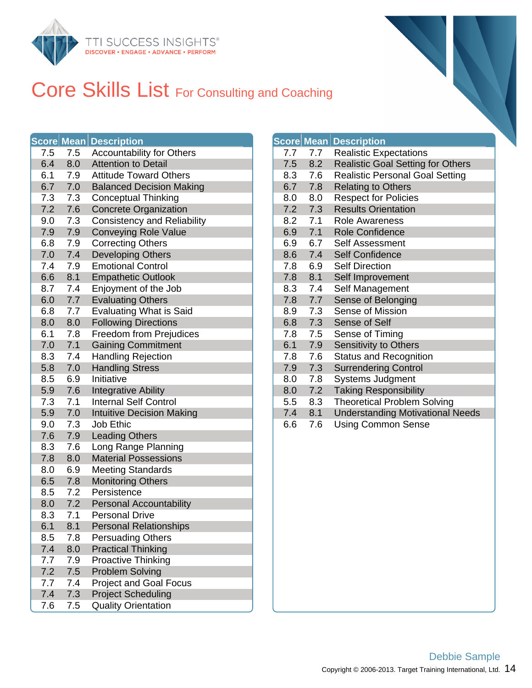

#### Core Skills List For Consulting and Coaching

|     |     | <b>Score Mean Description</b>      |     |     | <b>Score Mean Description</b> |
|-----|-----|------------------------------------|-----|-----|-------------------------------|
| 7.5 | 7.5 | <b>Accountability for Others</b>   | 7.7 | 7.7 | Realistic Ex                  |
| 6.4 | 8.0 | <b>Attention to Detail</b>         | 7.5 | 8.2 | <b>Realistic Go</b>           |
| 6.1 | 7.9 | <b>Attitude Toward Others</b>      | 8.3 | 7.6 | Realistic Pe                  |
| 6.7 | 7.0 | <b>Balanced Decision Making</b>    | 6.7 | 7.8 | Relating to 0                 |
| 7.3 | 7.3 | <b>Conceptual Thinking</b>         | 8.0 | 8.0 | Respect for                   |
| 7.2 | 7.6 | <b>Concrete Organization</b>       | 7.2 | 7.3 | <b>Results Orie</b>           |
| 9.0 | 7.3 | <b>Consistency and Reliability</b> | 8.2 | 7.1 | <b>Role Awarer</b>            |
| 7.9 | 7.9 | <b>Conveying Role Value</b>        | 6.9 | 7.1 | Role Confid                   |
| 6.8 | 7.9 | <b>Correcting Others</b>           | 6.9 | 6.7 | Self Assessi                  |
| 7.0 | 7.4 | <b>Developing Others</b>           | 8.6 | 7.4 | Self Confide                  |
| 7.4 | 7.9 | <b>Emotional Control</b>           | 7.8 | 6.9 | <b>Self Directio</b>          |
| 6.6 | 8.1 | <b>Empathetic Outlook</b>          | 7.8 | 8.1 | Self Improve                  |
| 8.7 | 7.4 | Enjoyment of the Job               | 8.3 | 7.4 | Self Manage                   |
| 6.0 | 7.7 | <b>Evaluating Others</b>           | 7.8 | 7.7 | Sense of Be                   |
| 6.8 | 7.7 | <b>Evaluating What is Said</b>     | 8.9 | 7.3 | Sense of Mi                   |
| 8.0 | 8.0 | <b>Following Directions</b>        | 6.8 | 7.3 | Sense of Se                   |
| 6.1 | 7.8 | Freedom from Prejudices            | 7.8 | 7.5 | Sense of Tir                  |
| 7.0 | 7.1 | <b>Gaining Commitment</b>          | 6.1 | 7.9 | Sensitivity to                |
| 8.3 | 7.4 | <b>Handling Rejection</b>          | 7.8 | 7.6 | Status and F                  |
| 5.8 | 7.0 | <b>Handling Stress</b>             | 7.9 | 7.3 | Surrendering                  |
| 8.5 | 6.9 | Initiative                         | 8.0 | 7.8 | Systems Ju                    |
| 5.9 | 7.6 | <b>Integrative Ability</b>         | 8.0 | 7.2 | <b>Taking Resp</b>            |
| 7.3 | 7.1 | <b>Internal Self Control</b>       | 5.5 | 8.3 | Theoretical I                 |
| 5.9 | 7.0 | <b>Intuitive Decision Making</b>   | 7.4 | 8.1 | Understandi                   |
| 9.0 | 7.3 | Job Ethic                          | 6.6 | 7.6 | <b>Using Comn</b>             |
| 7.6 | 7.9 | <b>Leading Others</b>              |     |     |                               |
| 8.3 | 7.6 | Long Range Planning                |     |     |                               |
| 7.8 | 8.0 | <b>Material Possessions</b>        |     |     |                               |
| 8.0 | 6.9 | <b>Meeting Standards</b>           |     |     |                               |
| 6.5 | 7.8 | <b>Monitoring Others</b>           |     |     |                               |
| 8.5 | 7.2 | Persistence                        |     |     |                               |
| 8.0 | 7.2 | <b>Personal Accountability</b>     |     |     |                               |
| 8.3 | 7.1 | <b>Personal Drive</b>              |     |     |                               |
| 6.1 | 8.1 | <b>Personal Relationships</b>      |     |     |                               |
| 8.5 | 7.8 | <b>Persuading Others</b>           |     |     |                               |
| 7.4 | 8.0 | <b>Practical Thinking</b>          |     |     |                               |
| 7.7 | 7.9 | <b>Proactive Thinking</b>          |     |     |                               |
| 7.2 | 7.5 | <b>Problem Solving</b>             |     |     |                               |
| 7.7 | 7.4 | <b>Project and Goal Focus</b>      |     |     |                               |
| 7.4 | 7.3 | <b>Project Scheduling</b>          |     |     |                               |
| 7.6 | 7.5 | <b>Quality Orientation</b>         |     |     |                               |

|     | Score Me <u>an  </u> | <b>Description</b>                       |
|-----|----------------------|------------------------------------------|
| 7.7 | 7.7                  | <b>Realistic Expectations</b>            |
| 7.5 | 8.2                  | <b>Realistic Goal Setting for Others</b> |
| 8.3 | 7.6                  | <b>Realistic Personal Goal Setting</b>   |
| 6.7 | 7.8                  | <b>Relating to Others</b>                |
| 8.0 | 8.0                  | <b>Respect for Policies</b>              |
| 7.2 | 7.3                  | <b>Results Orientation</b>               |
| 8.2 | 7.1                  | <b>Role Awareness</b>                    |
| 6.9 | 7.1                  | <b>Role Confidence</b>                   |
| 6.9 | 6.7                  | <b>Self Assessment</b>                   |
| 8.6 | 7.4                  | <b>Self Confidence</b>                   |
| 7.8 | 6.9                  | <b>Self Direction</b>                    |
| 7.8 | 8.1                  | Self Improvement                         |
| 8.3 | 7.4                  | Self Management                          |
| 7.8 | 7.7                  | Sense of Belonging                       |
| 8.9 | 7.3                  | Sense of Mission                         |
| 6.8 | 7.3                  | <b>Sense of Self</b>                     |
| 7.8 | 7.5                  | Sense of Timing                          |
| 6.1 | 7.9                  | Sensitivity to Others                    |
| 7.8 | 7.6                  | <b>Status and Recognition</b>            |
| 7.9 | 7.3                  | <b>Surrendering Control</b>              |
| 8.0 | 7.8                  | <b>Systems Judgment</b>                  |
| 8.0 | 7.2                  | <b>Taking Responsibility</b>             |
| 5.5 | 8.3                  | <b>Theoretical Problem Solving</b>       |
| 7.4 | 8.1                  | <b>Understanding Motivational Needs</b>  |
| 6.6 | 7.6                  | <b>Using Common Sense</b>                |
|     |                      |                                          |
|     |                      |                                          |